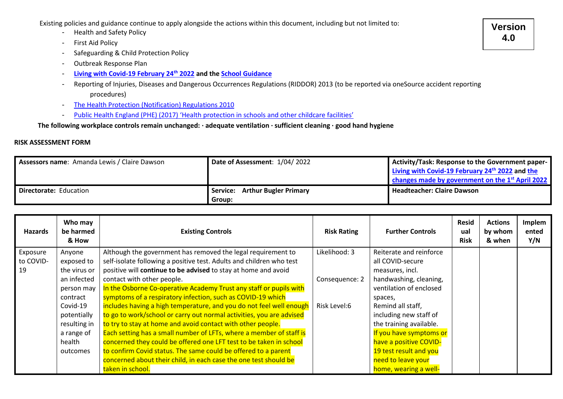Existing policies and guidance continue to apply alongside the actions within this document, including but not limited to:

- Health and Safety Policy
- First Aid Policy
- Safeguarding & Child Protection Policy
- Outbreak Response Plan
- **[Living with Covid-19 February 24](https://assets.publishing.service.gov.uk/government/uploads/system/uploads/attachment_data/file/1056229/COVID-19_Response_-_Living_with_COVID-19.pdf)th 2022 and th[e School Guidance](https://assets.publishing.service.gov.uk/government/uploads/system/uploads/attachment_data/file/1057106/220224_Schools_guidance.pdf)**
- Reporting of Injuries, Diseases and Dangerous Occurrences Regulations (RIDDOR) 2013 (to be reported via oneSource accident reporting procedures)
- [The Health Protection \(Notification\) Regulations 2010](https://www.legislation.gov.uk/uksi/2010/659/contents/made#:~:text=The%20Health%20Protection%20%28Notification%29%20Regulations%202010%201%20Citation%2C,to%20the%20Health%20Protection%20Agency%20More%20items...%20)
- [Public Health England \(PHE\) \(2017\) 'Health protection in schools and other childcare facilities'](https://www.gov.uk/government/publications/health-protection-in-schools-and-other-childcare-facilities)

**The following workplace controls remain unchanged: · adequate ventilation · sufficient cleaning · good hand hygiene**

## **RISK ASSESSMENT FORM**

| Assessors name: Amanda Lewis / Claire Dawson | Date of Assessment: 1/04/2022            | Activity/Task: Response to the Government paper-<br>Living with Covid-19 February 24th 2022 and the<br>changes made by government on the 1 <sup>st</sup> April 2022 |
|----------------------------------------------|------------------------------------------|---------------------------------------------------------------------------------------------------------------------------------------------------------------------|
| Directorate: Education                       | Service: Arthur Bugler Primary<br>Group: | <b>Headteacher: Claire Dawson</b>                                                                                                                                   |

| <b>Hazards</b> | Who may<br>be harmed<br>& How | <b>Existing Controls</b>                                             | <b>Risk Rating</b> | <b>Further Controls</b> | <b>Resid</b><br>ual<br><b>Risk</b> | <b>Actions</b><br>by whom<br>& when | Implem<br>ented<br>Y/N |
|----------------|-------------------------------|----------------------------------------------------------------------|--------------------|-------------------------|------------------------------------|-------------------------------------|------------------------|
| Exposure       | Anyone                        | Although the government has removed the legal requirement to         | Likelihood: 3      | Reiterate and reinforce |                                    |                                     |                        |
| to COVID-      | exposed to                    | self-isolate following a positive test. Adults and children who test |                    | all COVID-secure        |                                    |                                     |                        |
| 19             | the virus or                  | positive will continue to be advised to stay at home and avoid       |                    | measures, incl.         |                                    |                                     |                        |
|                | an infected                   | contact with other people.                                           | Consequence: 2     | handwashing, cleaning,  |                                    |                                     |                        |
|                | person may                    | In the Osborne Co-operative Academy Trust any staff or pupils with   |                    | ventilation of enclosed |                                    |                                     |                        |
|                | contract                      | symptoms of a respiratory infection, such as COVID-19 which          |                    | spaces,                 |                                    |                                     |                        |
|                | Covid-19                      | includes having a high temperature, and you do not feel well enough  | Risk Level:6       | Remind all staff,       |                                    |                                     |                        |
|                | potentially                   | to go to work/school or carry out normal activities, you are advised |                    | including new staff of  |                                    |                                     |                        |
|                | resulting in                  | to try to stay at home and avoid contact with other people.          |                    | the training available. |                                    |                                     |                        |
|                | a range of                    | Each setting has a small number of LFTs, where a member of staff is  |                    | If you have symptoms or |                                    |                                     |                        |
|                | health                        | concerned they could be offered one LFT test to be taken in school   |                    | have a positive COVID-  |                                    |                                     |                        |
|                | outcomes                      | to confirm Covid status. The same could be offered to a parent       |                    | 19 test result and you  |                                    |                                     |                        |
|                |                               | concerned about their child, in each case the one test should be     |                    | need to leave your      |                                    |                                     |                        |
|                |                               | taken in school.                                                     |                    | home, wearing a well-   |                                    |                                     |                        |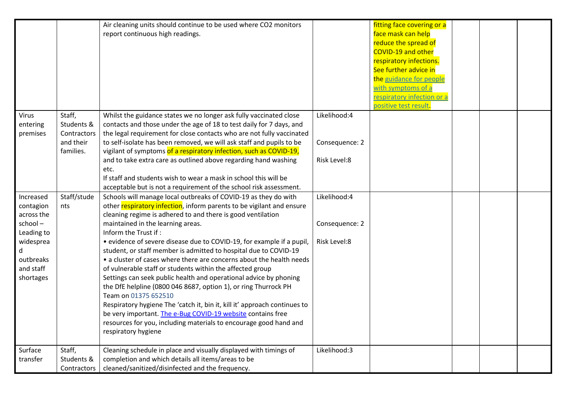|            |             | Air cleaning units should continue to be used where CO2 monitors          |                | fitting face covering or a |  |  |
|------------|-------------|---------------------------------------------------------------------------|----------------|----------------------------|--|--|
|            |             | report continuous high readings.                                          |                | face mask can help         |  |  |
|            |             |                                                                           |                | reduce the spread of       |  |  |
|            |             |                                                                           |                | <b>COVID-19 and other</b>  |  |  |
|            |             |                                                                           |                | respiratory infections.    |  |  |
|            |             |                                                                           |                | See further advice in      |  |  |
|            |             |                                                                           |                | the guidance for people    |  |  |
|            |             |                                                                           |                | with symptoms of a         |  |  |
|            |             |                                                                           |                | respiratory infection or a |  |  |
|            |             |                                                                           |                | positive test result.      |  |  |
| Virus      | Staff,      | Whilst the guidance states we no longer ask fully vaccinated close        | Likelihood:4   |                            |  |  |
| entering   | Students &  | contacts and those under the age of 18 to test daily for 7 days, and      |                |                            |  |  |
| premises   | Contractors | the legal requirement for close contacts who are not fully vaccinated     |                |                            |  |  |
|            | and their   | to self-isolate has been removed, we will ask staff and pupils to be      | Consequence: 2 |                            |  |  |
|            | families.   | vigilant of symptoms of a respiratory infection, such as COVID-19,        |                |                            |  |  |
|            |             | and to take extra care as outlined above regarding hand washing           | Risk Level:8   |                            |  |  |
|            |             | etc.                                                                      |                |                            |  |  |
|            |             | If staff and students wish to wear a mask in school this will be          |                |                            |  |  |
|            |             | acceptable but is not a requirement of the school risk assessment.        |                |                            |  |  |
| Increased  | Staff/stude | Schools will manage local outbreaks of COVID-19 as they do with           | Likelihood:4   |                            |  |  |
| contagion  | nts         | other respiratory infection, inform parents to be vigilant and ensure     |                |                            |  |  |
| across the |             | cleaning regime is adhered to and there is good ventilation               |                |                            |  |  |
| school-    |             | maintained in the learning areas.                                         | Consequence: 2 |                            |  |  |
| Leading to |             | Inform the Trust if:                                                      |                |                            |  |  |
| widesprea  |             | • evidence of severe disease due to COVID-19, for example if a pupil,     | Risk Level:8   |                            |  |  |
|            |             | student, or staff member is admitted to hospital due to COVID-19          |                |                            |  |  |
| outbreaks  |             | • a cluster of cases where there are concerns about the health needs      |                |                            |  |  |
| and staff  |             | of vulnerable staff or students within the affected group                 |                |                            |  |  |
| shortages  |             | Settings can seek public health and operational advice by phoning         |                |                            |  |  |
|            |             | the DfE helpline (0800 046 8687, option 1), or ring Thurrock PH           |                |                            |  |  |
|            |             | Team on 01375 652510                                                      |                |                            |  |  |
|            |             | Respiratory hygiene The 'catch it, bin it, kill it' approach continues to |                |                            |  |  |
|            |             | be very important. The e-Bug COVID-19 website contains free               |                |                            |  |  |
|            |             | resources for you, including materials to encourage good hand and         |                |                            |  |  |
|            |             | respiratory hygiene                                                       |                |                            |  |  |
|            |             |                                                                           |                |                            |  |  |
| Surface    | Staff,      | Cleaning schedule in place and visually displayed with timings of         | Likelihood:3   |                            |  |  |
| transfer   | Students &  | completion and which details all items/areas to be                        |                |                            |  |  |
|            | Contractors | cleaned/sanitized/disinfected and the frequency.                          |                |                            |  |  |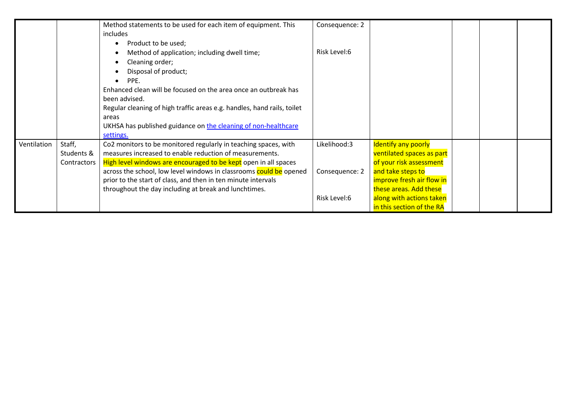|             |             | Method statements to be used for each item of equipment. This<br>includes | Consequence: 2 |                            |  |  |
|-------------|-------------|---------------------------------------------------------------------------|----------------|----------------------------|--|--|
|             |             | Product to be used;                                                       |                |                            |  |  |
|             |             | Method of application; including dwell time;                              | Risk Level:6   |                            |  |  |
|             |             | Cleaning order;                                                           |                |                            |  |  |
|             |             | Disposal of product;                                                      |                |                            |  |  |
|             |             | PPE.                                                                      |                |                            |  |  |
|             |             | Enhanced clean will be focused on the area once an outbreak has           |                |                            |  |  |
|             |             | been advised.                                                             |                |                            |  |  |
|             |             | Regular cleaning of high traffic areas e.g. handles, hand rails, toilet   |                |                            |  |  |
|             |             | areas                                                                     |                |                            |  |  |
|             |             | UKHSA has published guidance on the cleaning of non-healthcare            |                |                            |  |  |
|             |             | settings.                                                                 |                |                            |  |  |
| Ventilation | Staff,      | Co2 monitors to be monitored regularly in teaching spaces, with           | Likelihood:3   | <b>Identify any poorly</b> |  |  |
|             | Students &  | measures increased to enable reduction of measurements.                   |                | ventilated spaces as part  |  |  |
|             | Contractors | High level windows are encouraged to be kept open in all spaces           |                | of your risk assessment    |  |  |
|             |             | across the school, low level windows in classrooms could be opened        | Consequence: 2 | and take steps to          |  |  |
|             |             | prior to the start of class, and then in ten minute intervals             |                | improve fresh air flow in  |  |  |
|             |             | throughout the day including at break and lunchtimes.                     |                | these areas. Add these     |  |  |
|             |             |                                                                           | Risk Level:6   | along with actions taken   |  |  |
|             |             |                                                                           |                | in this section of the RA  |  |  |